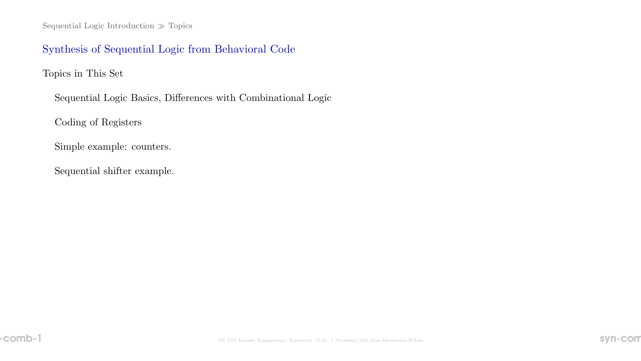Sequential Logic Introduction  $\gg$  Topics

## Synthesis of Sequential Logic from Behavioral Code

Topics in This Set

Sequential Logic Basics, Differences with Combinational Logic

Coding of Registers

Simple example: counters.

Sequential shifter example.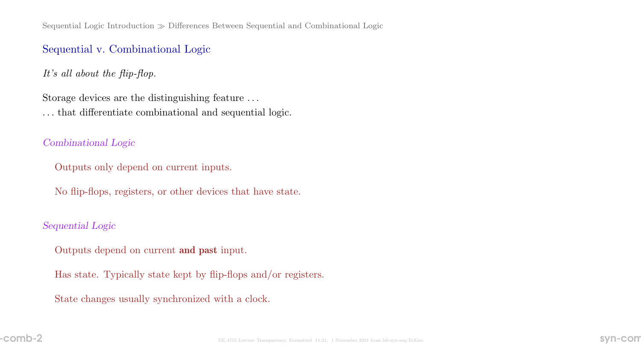## Sequential v. Combinational Logic

It's all about the flip-flop.

Storage devices are the distinguishing feature . . . . . . that differentiate combinational and sequential logic.

## Combinational Logic

Outputs only depend on current inputs.

No flip-flops, registers, or other devices that have state.

## Sequential Logic

Outputs depend on current and past input.

Has state. Typically state kept by flip-flops and/or registers.

State changes usually synchronized with a clock.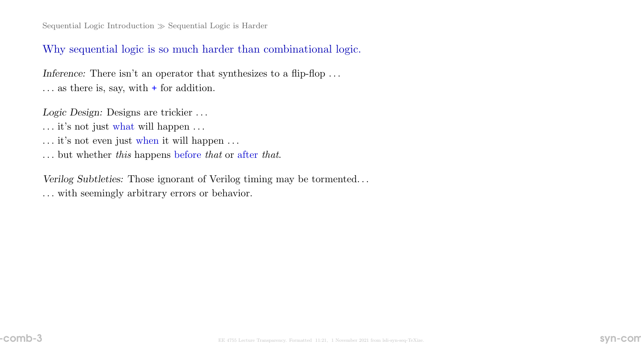## Why sequential logic is so much harder than combinational logic.

Inference: There isn't an operator that synthesizes to a flip-flop  $\dots$ . . . as there is, say, with + for addition.

Logic Design: Designs are trickier . . .

- $\ldots$  it's not just what will happen  $\ldots$
- $\ldots$  it's not even just when it will happen  $\ldots$
- . . . but whether this happens before that or after that.

Verilog Subtleties: Those ignorant of Verilog timing may be tormented. . . . . . with seemingly arbitrary errors or behavior.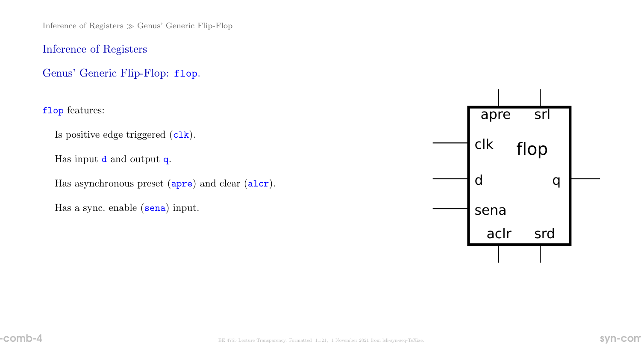Inference of Registers  $\gg$  Genus' Generic Flip-Flop

Inference of Registers

Genus' Generic Flip-Flop: flop.

flop features:

Is positive edge triggered (clk).

Has input **d** and output **q**.

Has asynchronous preset (apre) and clear (alcr).

Has a sync. enable (sena) input.

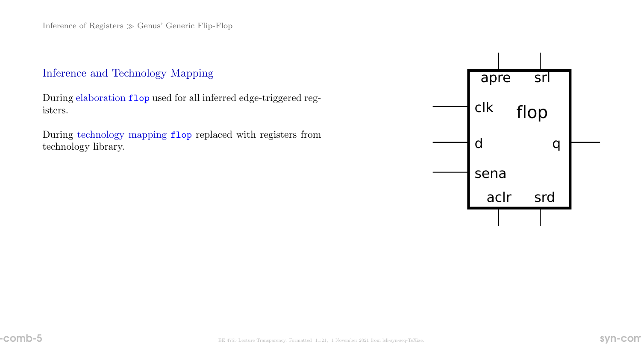## Inference and Technology Mapping

During elaboration flop used for all inferred edge-triggered registers.

During technology mapping flop replaced with registers from technology library.

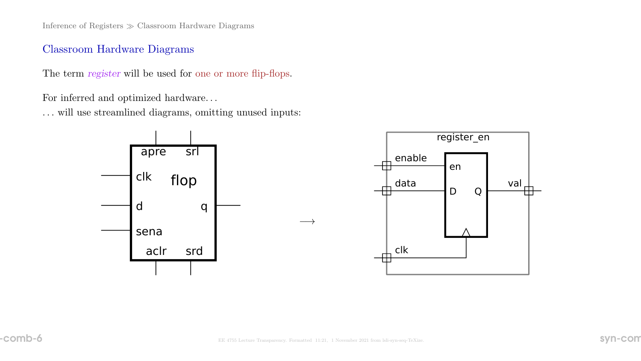Inference of Registers  $\gg$  Classroom Hardware Diagrams

## Classroom Hardware Diagrams

The term register will be used for one or more flip-flops.

For inferred and optimized hardware. . .

. . . will use streamlined diagrams, omitting unused inputs:





 $\longrightarrow$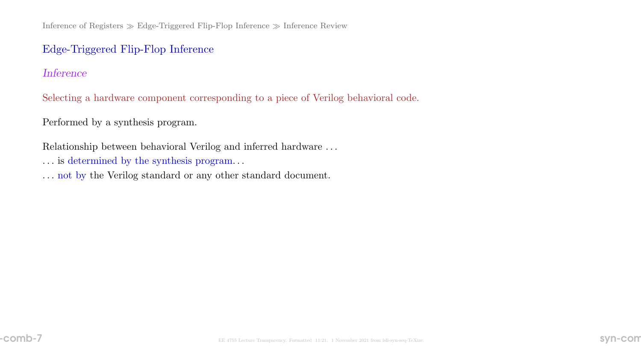Inference of Registers  $\gg$  Edge-Triggered Flip-Flop Inference  $\gg$  Inference Review

## Edge-Triggered Flip-Flop Inference

### Inference

Selecting a hardware component corresponding to a piece of Verilog behavioral code.

Performed by a synthesis program.

Relationship between behavioral Verilog and inferred hardware . . .

- . . . is determined by the synthesis program. . .
- . . . not by the Verilog standard or any other standard document.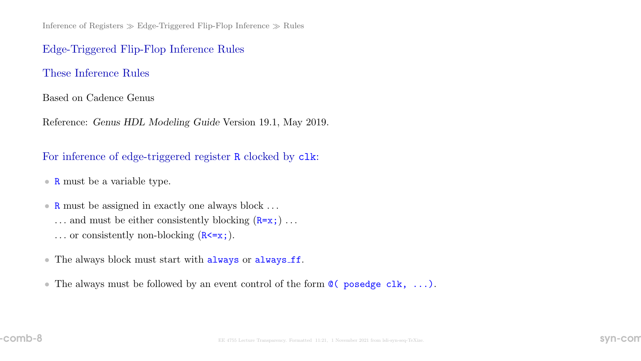Inference of Registers  $\gg$  Edge-Triggered Flip-Flop Inference  $\gg$  Rules

### Edge-Triggered Flip-Flop Inference Rules

### These Inference Rules

#### Based on Cadence Genus

Reference: Genus HDL Modeling Guide Version 19.1, May 2019.

## For inference of edge-triggered register R clocked by  $c1k$ :

- **R** must be a variable type.
- R must be assigned in exactly one always block . . . ... and must be either consistently blocking  $(R=x; ) \dots$ ... or consistently non-blocking  $(R \le x)$ .
- The always block must start with always or always ff.
- The always must be followed by an event control of the form  $\mathcal{Q}(\mathbf{posedge} \text{ c} \mathbf{lk}, \dots)$ .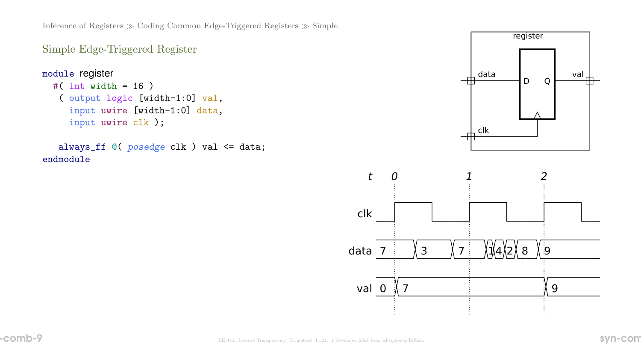Inference of Registers  $\gg$  Coding Common Edge-Triggered Registers  $\gg$  Simple

```
Simple Edge-Triggered Register
```

```
module register
  #( int width = 16 )
   ( output logic [width-1:0] val,
     input uwire [width-1:0] data,
     input uwire clk );
```

```
always_ff @( posedge clk ) val <= data;
endmodule
```


clk

data 7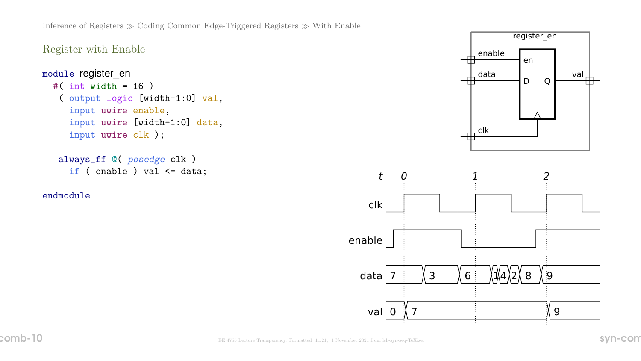```
Register with Enable
```

```
module register_en
  #( int width = 16 )
   ( output logic [width-1:0] val,
     input uwire enable,
     input uwire [width-1:0] data,
     input uwire clk );
```

```
always_ff @( posedge clk )
 if ( enable ) val <= data;
```
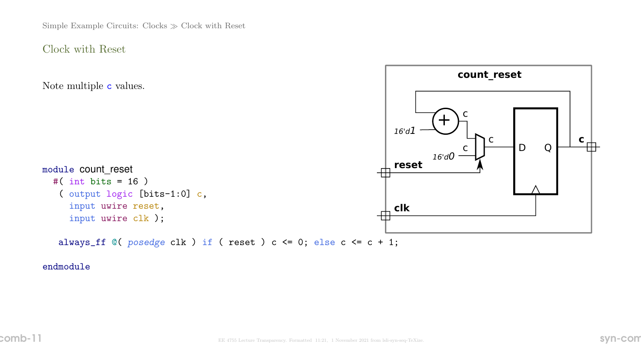Simple Example Circuits: Clocks  $\gg$  Clock with Reset

Clock with Reset

Note multiple c values.



module count\_reset #( int bits = 16 ) ( output logic [bits-1:0] c, input uwire reset, input uwire clk );

always\_ff  $@($  posedge clk  $)$  if ( reset ) c <= 0; else c <= c + 1;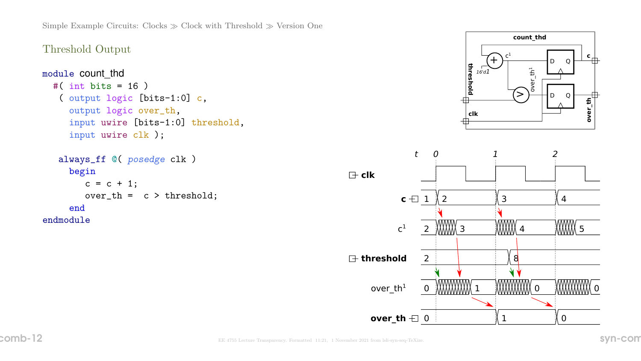# Threshold Output

```
module count_thd
  #( int bits = 16 )
   ( output logic [bits-1:0] c,
     output logic over_th,
     input uwire [bits-1:0] threshold,
     input uwire clk );
   always_ff @( posedge clk )
     begin
        c = c + 1;
        over_th = c > threshold;
```

```
end
endmodule
```


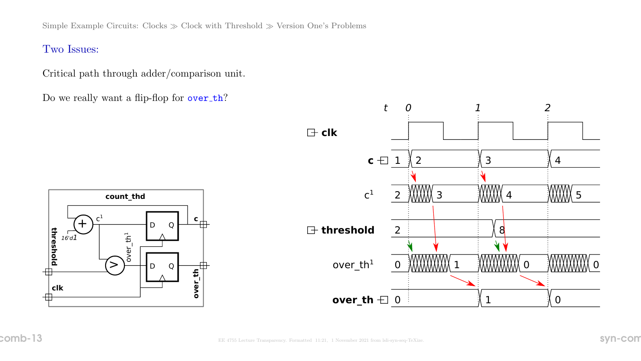Simple Example Circuits: Clocks  $\gg$  Clock with Threshold  $\gg$  Version One's Problems

Two Issues:

Critical path through adder/comparison unit.

Do we really want a flip-flop for over\_th?



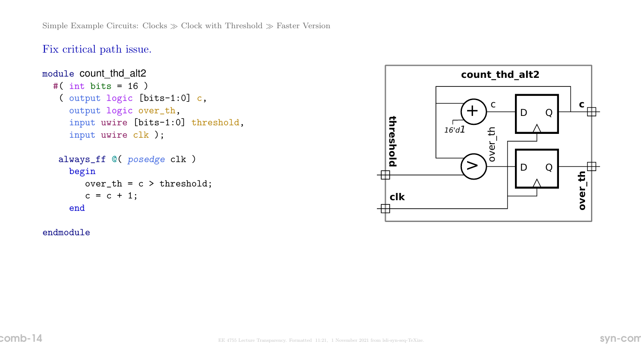Fix critical path issue.

```
module count_thd_alt2
  #( int bits = 16 )
   ( output logic [bits-1:0] c,
     output logic over_th,
     input uwire [bits-1:0] threshold,
     input uwire clk );
   always_ff @( posedge clk )
     begin
        over_th = c > threshold;c = c + 1;
     end
```
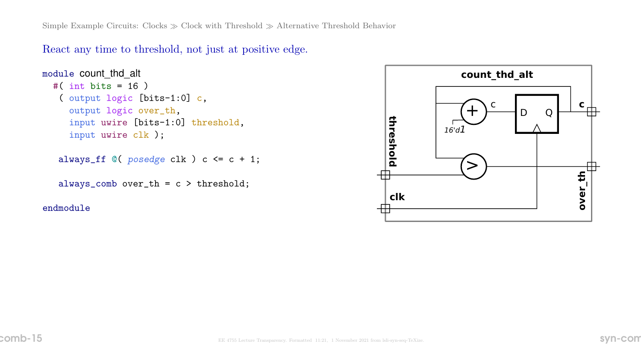React any time to threshold, not just at positive edge.

```
module count_thd_alt
  #( int bits = 16 )
   ( output logic [bits-1:0] c,
     output logic over_th,
     input uwire [bits-1:0] threshold,
     input uwire clk );
```

```
always_ff @( posedge clk ) c <= c + 1;
```

```
always_comb over_th = c > threshold;
```
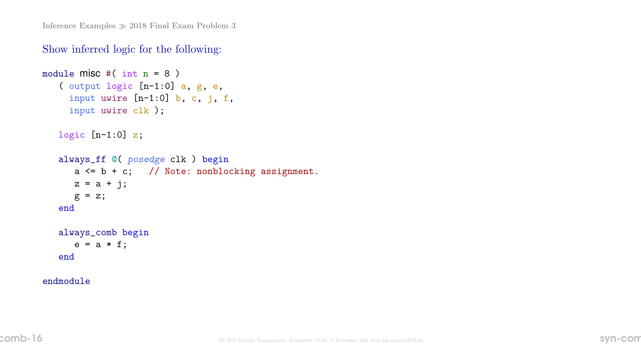## Show inferred logic for the following:

```
module misc #( int n = 8 )
   ( output logic [n-1:0] a, g, e,
     input uwire [n-1:0] b, c, j, f,
     input uwire clk );
   logic [n-1:0] z;
   always_ff @( posedge clk ) begin
      a \leq b + c; // Note: nonblocking assignment.
      z = a + j;g = z;end
   always_comb begin
      e = a * f;end
```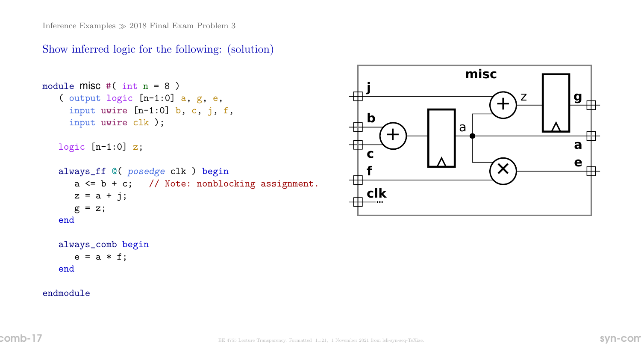# Show inferred logic for the following: (solution)

```
module misc #( int n = 8 )
   ( output logic [n-1:0] a, g, e,
     input uwire [n-1:0] b, c, j, f,
     input uwire clk );
   logic [n-1:0] z;
   always_ff @( posedge clk ) begin
      a \leq b + c; // Note: nonblocking assignment.
      z = a + j;g = z;end
   always_comb begin
      e = a * f;
```


#### endmodule

end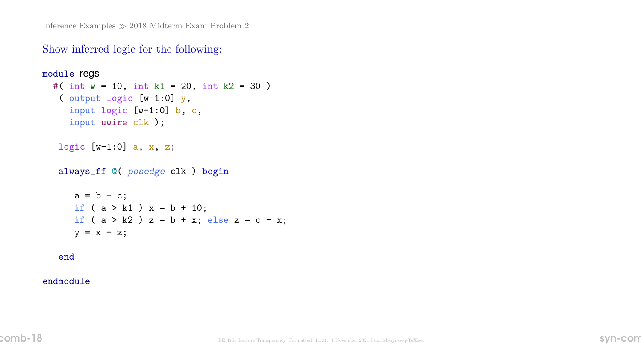Inference Examples  $\gg$  2018 Midterm Exam Problem 2

### Show inferred logic for the following:

```
module regs
 #( int w = 10, int k1 = 20, int k2 = 30)
   ( output logic [w-1:0] y,
     input logic [w-1:0] b, c,
     input uwire clk );
  logic [w-1:0] a, x, z;
   always_ff @( posedge clk ) begin
     a = b + c;
     if (a > k1) x = b + 10;if ( a > k2 ) z = b + x; else z = c - x;
     y = x + z;end
```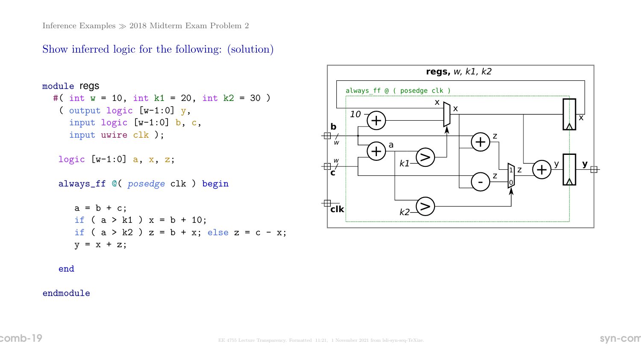## Show inferred logic for the following: (solution)

```
module regs
 #( int w = 10, int k1 = 20, int k2 = 30 )
   ( output logic [w-1:0] y,
     input logic [w-1:0] b, c,
     input uwire clk );
  logic [w-1:0] a, x, z;
   always_ff @( posedge clk ) begin
     a = b + c;
     if (a > k1) x = b + 10;if ( a > k2 ) z = b + x; else z = c - x;
     y = x + z;end
```
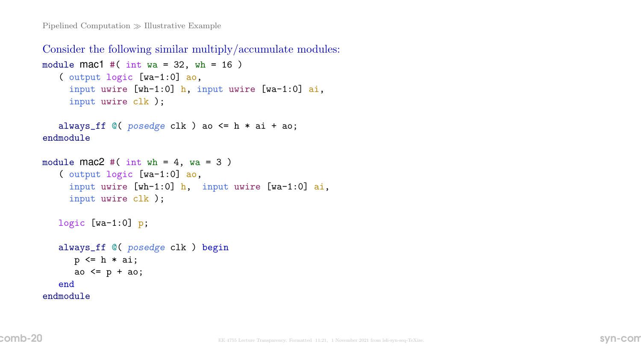Consider the following similar multiply/accumulate modules: module  $\text{mac1 }$  #( int wa = 32, wh = 16) ( output logic [wa-1:0] ao,

```
input uwire [wh-1:0] h, input uwire [wa-1:0] ai,
input uwire clk );
```

```
always_ff @( posedge clk ) ao <= h * ai + ao;
endmodule
```

```
module \text{mac2} #( int wh = 4, wa = 3)
   ( output logic [wa-1:0] ao,
     input uwire [wh-1:0] h, input uwire [wa-1:0] ai,
     input uwire clk );
   logic [wa-1:0] p;
   always_ff @( posedge clk ) begin
      p \leq h * ai;ao \leq p + ao;
   end
```

```
endmodule
```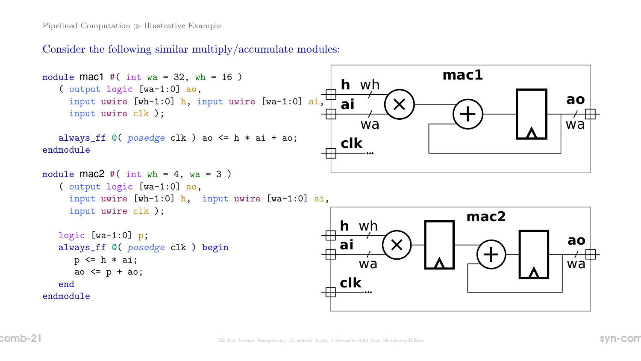Consider the following similar multiply/accumulate modules:

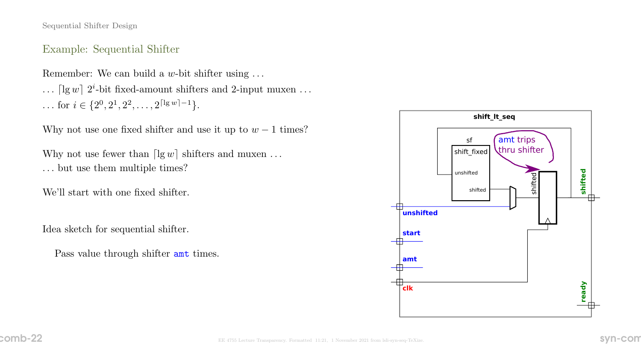### Example: Sequential Shifter

Remember: We can build a  $w$ -bit shifter using  $\dots$ 

 $\ldots$  [lg w]  $2^i$ -bit fixed-amount shifters and 2-input muxen ... ... for *i* ∈ { $2^0, 2^1, 2^2, ..., 2^{\lceil \lg w \rceil - 1}$  }.

Why not use one fixed shifter and use it up to  $w - 1$  times?

Why not use fewer than  $\lceil \lg w \rceil$  shifters and muxen ... . . . but use them multiple times?

We'll start with one fixed shifter.

Idea sketch for sequential shifter.

Pass value through shifter amt times.

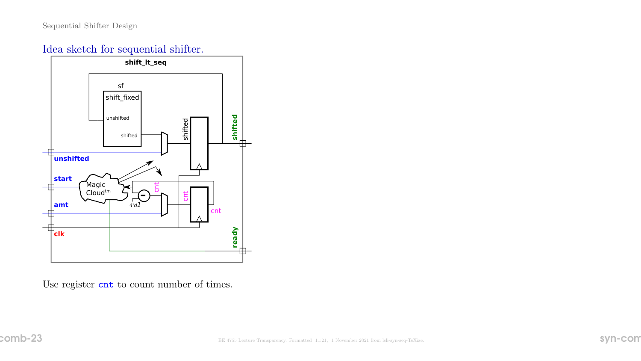# Idea sketch for sequential shifter.



Use register cnt to count number of times.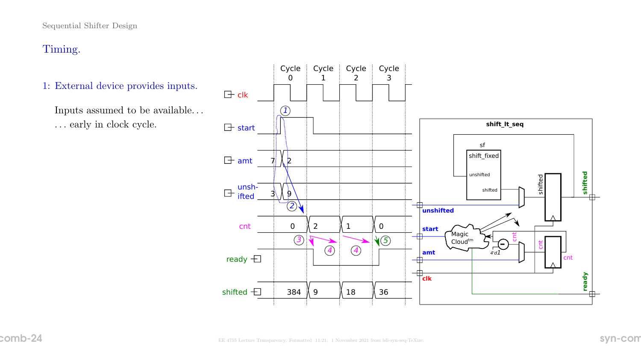- 1: External device provides inputs.
	- Inputs assumed to be available.  $\ldots$ . . . early in clock cycle.

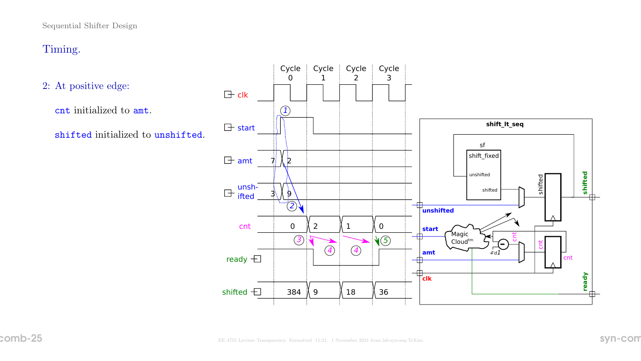2: At positive edge:

cnt initialized to amt.

shifted initialized to unshifted.

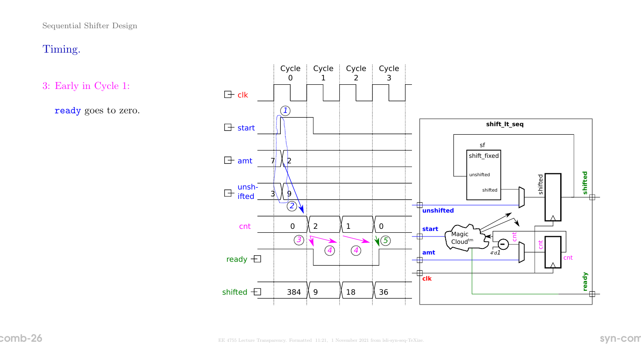3: Early in Cycle 1:

ready goes to zero.

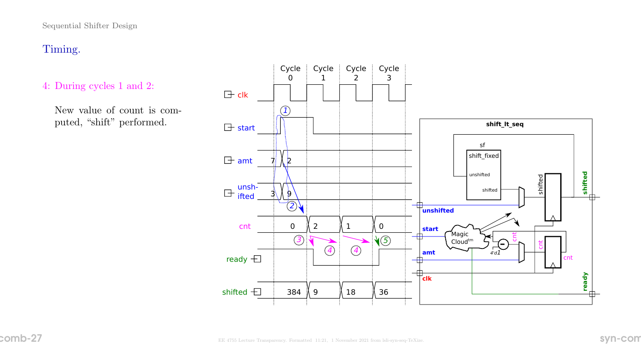- 4: During cycles 1 and 2:
	- New value of count is computed, "shift" performed.

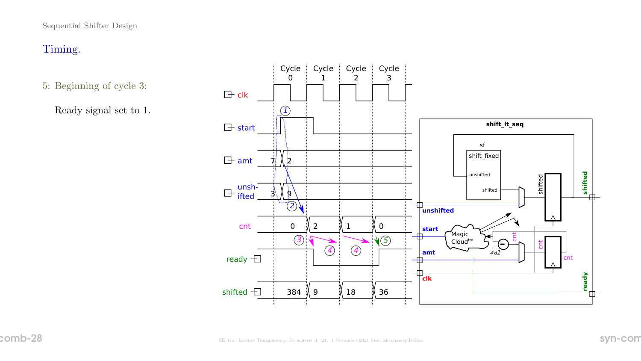- 5: Beginning of cycle 3:
	- Ready signal set to 1.

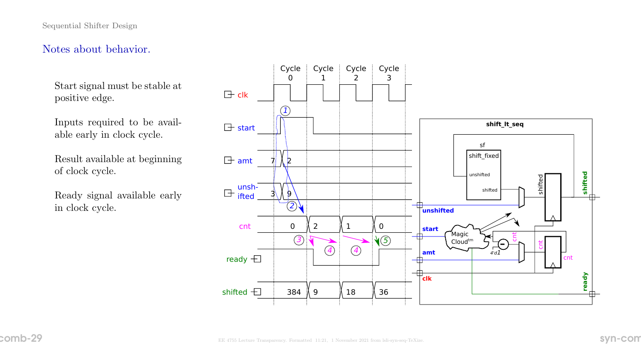## Notes about behavior.

Start signal must be stable at positive edge.

Inputs required to be available early in clock cycle.

Result available at beginning of clock cycle.

Ready signal available early in clock cycle.

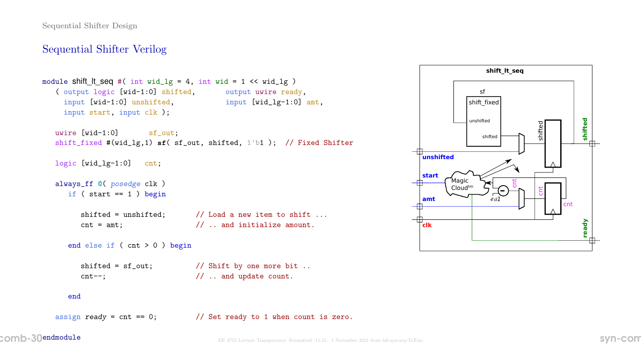## Sequential Shifter Verilog

```
module shift_lt_seq #( int wid_lg = 4, int wid = 1 \lt\lt wid_lg )
  ( output logic [wid-1:0] shifted, output uwire ready,
    input [wid-1:0] unshifted, input [wid_lg-1:0] amt,
    input start, input clk );
  uwire [wid-1:0] sf_out;
  shift_fixed #(wid_lg,1) sf( sf_out, shifted, 1'b1 ); // Fixed Shifter
  logic [wid_1g-1:0] cnt;
```

```
always_ff @( posedge clk )
  if (start == 1) begin
```
shifted = unshifted;  $//$  Load a new item to shift ...  $\cot =$  amt;  $\frac{1}{2}$  ... and initialize amount.

```
end else if ( cnt > 0 ) begin
```

```
shifted = sf_out; // Shift by one more bit ..
cnt--; \frac{1}{1} ... and update count.
```
#### end

assign ready = cnt == 0;  $\frac{1}{8}$  Set ready to 1 when count is zero.

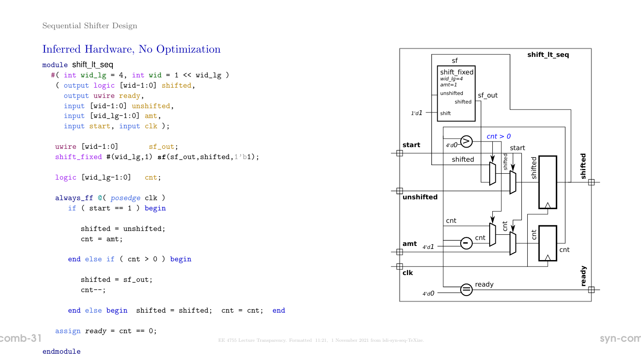## Inferred Hardware, No Optimization

```
module shift_lt_seq
  #( int wid_lg = 4, int wid = 1 << wid_lg )
   ( output logic [wid-1:0] shifted,
     output uwire ready,
    input [wid-1:0] unshifted,
    input [wid_lg-1:0] amt,
    input start, input clk );
  uwire [wid-1:0] sf_out;
   shift_fixed #(wid_lg,1) sf(sf_out,shifted,1'b1);
  logic [wid_1g-1:0] cnt;
   always_ff @( posedge clk )
     if ( start == 1 ) begin
         shifted = unshifted;
         cnt = amt;
      end else if ( cnt > 0 ) begin
         shifted = sf_out;
         cnt--;
      end else begin shifted = shifted; cnt = cnt; end
```

```
assign ready = cnt == 0;
```
 $\mathsf{comb-31}$  Syn-comb-31 EE 4755 Lecture Transparency. Formatted 11:21, 1 November 2021 from lsli-syn-seq-TeXize.

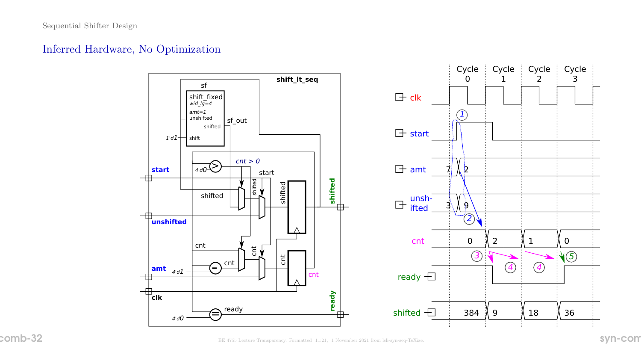## Inferred Hardware, No Optimization

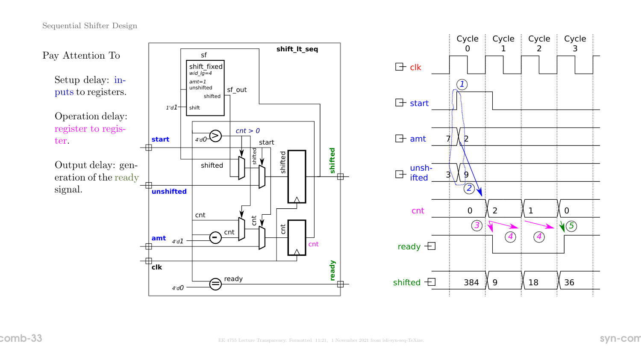

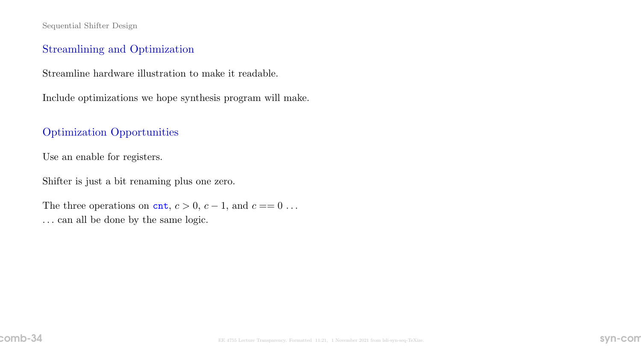## Streamlining and Optimization

Streamline hardware illustration to make it readable.

Include optimizations we hope synthesis program will make.

## Optimization Opportunities

Use an enable for registers.

Shifter is just a bit renaming plus one zero.

The three operations on cnt,  $c > 0$ ,  $c - 1$ , and  $c == 0$ ... . . . can all be done by the same logic.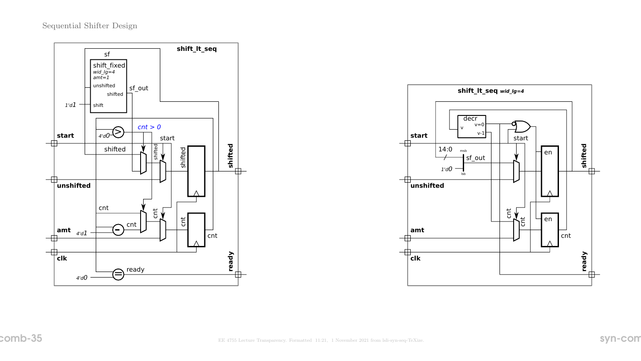

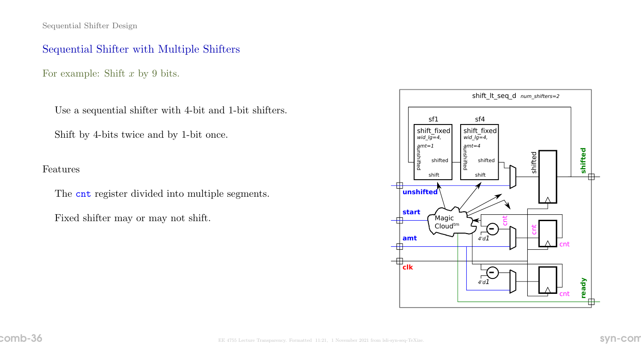## Sequential Shifter with Multiple Shifters

For example: Shift  $x$  by 9 bits.

Use a sequential shifter with 4-bit and 1-bit shifters.

Shift by 4-bits twice and by 1-bit once.

Features

The cnt register divided into multiple segments.

Fixed shifter may or may not shift.